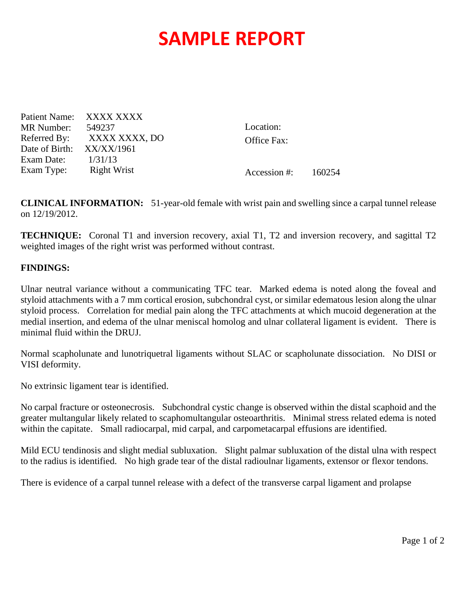## **SAMPLE REPORT**

Patient Name: XXXX XXXX MR Number: 549237 Referred By: XXXX XXXX, DO Date of Birth: XX/XX/1961 Exam Date: 1/31/13 Exam Type: Right Wrist

Location: Office Fax:

Accession #: 160254

**CLINICAL INFORMATION:** 51-year-old female with wrist pain and swelling since a carpal tunnel release on 12/19/2012.

**TECHNIQUE:** Coronal T1 and inversion recovery, axial T1, T2 and inversion recovery, and sagittal T2 weighted images of the right wrist was performed without contrast.

## **FINDINGS:**

Ulnar neutral variance without a communicating TFC tear. Marked edema is noted along the foveal and styloid attachments with a 7 mm cortical erosion, subchondral cyst, or similar edematous lesion along the ulnar styloid process. Correlation for medial pain along the TFC attachments at which mucoid degeneration at the medial insertion, and edema of the ulnar meniscal homolog and ulnar collateral ligament is evident. There is minimal fluid within the DRUJ.

Normal scapholunate and lunotriquetral ligaments without SLAC or scapholunate dissociation. No DISI or VISI deformity.

No extrinsic ligament tear is identified.

No carpal fracture or osteonecrosis. Subchondral cystic change is observed within the distal scaphoid and the greater multangular likely related to scaphomultangular osteoarthritis. Minimal stress related edema is noted within the capitate. Small radiocarpal, mid carpal, and carpometacarpal effusions are identified.

Mild ECU tendinosis and slight medial subluxation. Slight palmar subluxation of the distal ulna with respect to the radius is identified. No high grade tear of the distal radioulnar ligaments, extensor or flexor tendons.

There is evidence of a carpal tunnel release with a defect of the transverse carpal ligament and prolapse